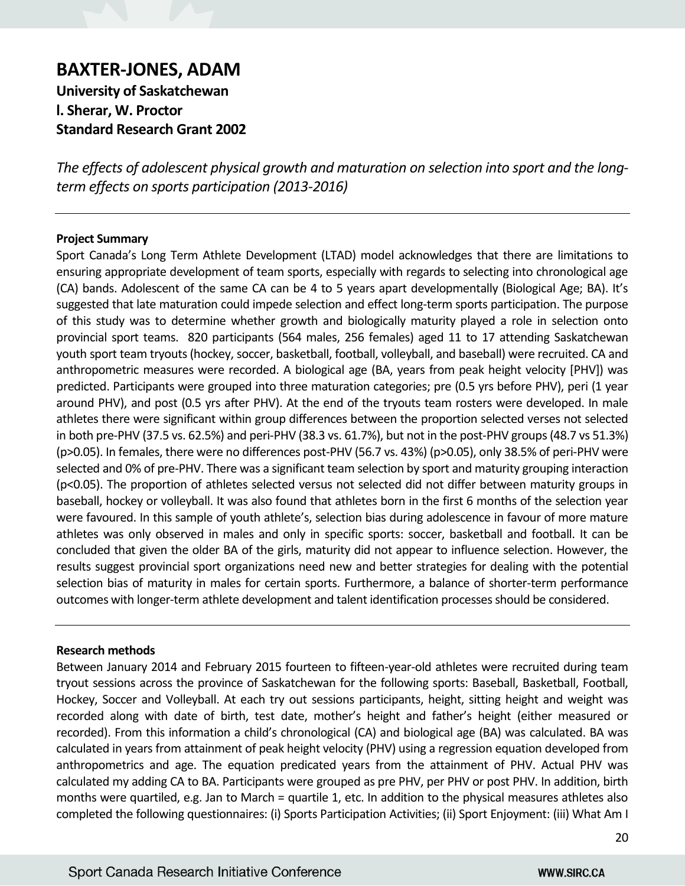# **BAXTER-JONES, ADAM**

**University of Saskatchewan l. Sherar, W. Proctor Standard Research Grant 2002**

*The effects of adolescent physical growth and maturation on selection into sport and the longterm effects on sports participation (2013-2016)*

## **Project Summary**

Sport Canada's Long Term Athlete Development (LTAD) model acknowledges that there are limitations to ensuring appropriate development of team sports, especially with regards to selecting into chronological age (CA) bands. Adolescent of the same CA can be 4 to 5 years apart developmentally (Biological Age; BA). It's suggested that late maturation could impede selection and effect long-term sports participation. The purpose of this study was to determine whether growth and biologically maturity played a role in selection onto provincial sport teams. 820 participants (564 males, 256 females) aged 11 to 17 attending Saskatchewan youth sport team tryouts (hockey, soccer, basketball, football, volleyball, and baseball) were recruited. CA and anthropometric measures were recorded. A biological age (BA, years from peak height velocity [PHV]) was predicted. Participants were grouped into three maturation categories; pre (0.5 yrs before PHV), peri (1 year around PHV), and post (0.5 yrs after PHV). At the end of the tryouts team rosters were developed. In male athletes there were significant within group differences between the proportion selected verses not selected in both pre-PHV (37.5 vs. 62.5%) and peri-PHV (38.3 vs. 61.7%), but not in the post-PHV groups (48.7 vs 51.3%) (p>0.05). In females, there were no differences post-PHV (56.7 vs. 43%) (p>0.05), only 38.5% of peri-PHV were selected and 0% of pre-PHV. There was a significant team selection by sport and maturity grouping interaction (p<0.05). The proportion of athletes selected versus not selected did not differ between maturity groups in baseball, hockey or volleyball. It was also found that athletes born in the first 6 months of the selection year were favoured. In this sample of youth athlete's, selection bias during adolescence in favour of more mature athletes was only observed in males and only in specific sports: soccer, basketball and football. It can be concluded that given the older BA of the girls, maturity did not appear to influence selection. However, the results suggest provincial sport organizations need new and better strategies for dealing with the potential selection bias of maturity in males for certain sports. Furthermore, a balance of shorter-term performance outcomes with longer-term athlete development and talent identification processes should be considered.

## **Research methods**

Between January 2014 and February 2015 fourteen to fifteen-year-old athletes were recruited during team tryout sessions across the province of Saskatchewan for the following sports: Baseball, Basketball, Football, Hockey, Soccer and Volleyball. At each try out sessions participants, height, sitting height and weight was recorded along with date of birth, test date, mother's height and father's height (either measured or recorded). From this information a child's chronological (CA) and biological age (BA) was calculated. BA was calculated in years from attainment of peak height velocity (PHV) using a regression equation developed from anthropometrics and age. The equation predicated years from the attainment of PHV. Actual PHV was calculated my adding CA to BA. Participants were grouped as pre PHV, per PHV or post PHV. In addition, birth months were quartiled, e.g. Jan to March = quartile 1, etc. In addition to the physical measures athletes also completed the following questionnaires: (i) Sports Participation Activities; (ii) Sport Enjoyment: (iii) What Am I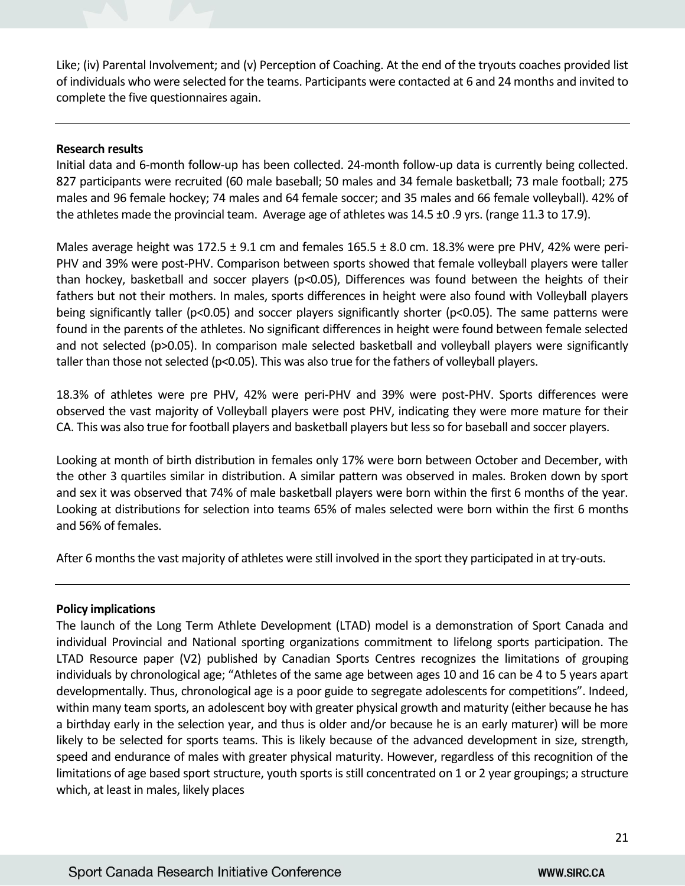Like; (iv) Parental Involvement; and (v) Perception of Coaching. At the end of the tryouts coaches provided list of individuals who were selected for the teams. Participants were contacted at 6 and 24 months and invited to complete the five questionnaires again.

## **Research results**

Initial data and 6-month follow-up has been collected. 24-month follow-up data is currently being collected. 827 participants were recruited (60 male baseball; 50 males and 34 female basketball; 73 male football; 275 males and 96 female hockey; 74 males and 64 female soccer; and 35 males and 66 female volleyball). 42% of the athletes made the provincial team. Average age of athletes was 14.5 ±0 .9 yrs. (range 11.3 to 17.9).

Males average height was  $172.5 \pm 9.1$  cm and females  $165.5 \pm 8.0$  cm.  $18.3\%$  were pre PHV, 42% were peri-PHV and 39% were post-PHV. Comparison between sports showed that female volleyball players were taller than hockey, basketball and soccer players (p<0.05), Differences was found between the heights of their fathers but not their mothers. In males, sports differences in height were also found with Volleyball players being significantly taller (p<0.05) and soccer players significantly shorter (p<0.05). The same patterns were found in the parents of the athletes. No significant differences in height were found between female selected and not selected (p>0.05). In comparison male selected basketball and volleyball players were significantly taller than those not selected (p<0.05). This was also true for the fathers of volleyball players.

18.3% of athletes were pre PHV, 42% were peri-PHV and 39% were post-PHV. Sports differences were observed the vast majority of Volleyball players were post PHV, indicating they were more mature for their CA. This was also true for football players and basketball players but less so for baseball and soccer players.

Looking at month of birth distribution in females only 17% were born between October and December, with the other 3 quartiles similar in distribution. A similar pattern was observed in males. Broken down by sport and sex it was observed that 74% of male basketball players were born within the first 6 months of the year. Looking at distributions for selection into teams 65% of males selected were born within the first 6 months and 56% of females.

After 6 months the vast majority of athletes were still involved in the sport they participated in at try-outs.

## **Policy implications**

The launch of the Long Term Athlete Development (LTAD) model is a demonstration of Sport Canada and individual Provincial and National sporting organizations commitment to lifelong sports participation. The LTAD Resource paper (V2) published by Canadian Sports Centres recognizes the limitations of grouping individuals by chronological age; "Athletes of the same age between ages 10 and 16 can be 4 to 5 years apart developmentally. Thus, chronological age is a poor guide to segregate adolescents for competitions". Indeed, within many team sports, an adolescent boy with greater physical growth and maturity (either because he has a birthday early in the selection year, and thus is older and/or because he is an early maturer) will be more likely to be selected for sports teams. This is likely because of the advanced development in size, strength, speed and endurance of males with greater physical maturity. However, regardless of this recognition of the limitations of age based sport structure, youth sports is still concentrated on 1 or 2 year groupings; a structure which, at least in males, likely places